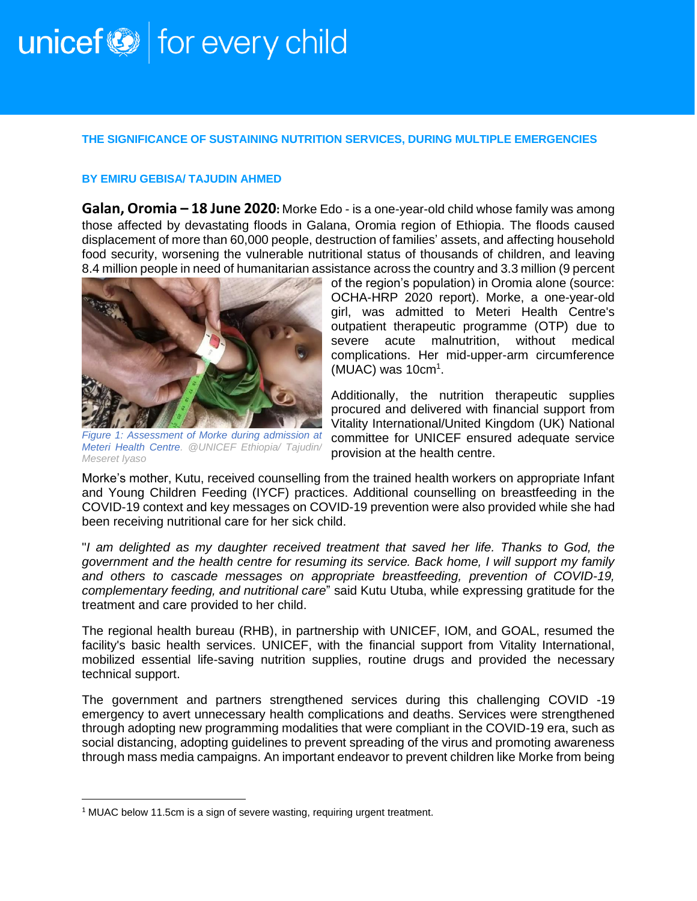## unicef<sup>(2)</sup> for every child

## **THE SIGNIFICANCE OF SUSTAINING NUTRITION SERVICES, DURING MULTIPLE EMERGENCIES**

## **BY EMIRU GEBISA/ TAJUDIN AHMED**

**Galan, Oromia – 18 June 2020:** Morke Edo - is a one-year-old child whose family was among those affected by devastating floods in Galana, Oromia region of Ethiopia. The floods caused displacement of more than 60,000 people, destruction of families' assets, and affecting household food security, worsening the vulnerable nutritional status of thousands of children, and leaving 8.4 million people in need of humanitarian assistance across the country and 3.3 million (9 percent



*Figure 1: Assessment of Morke during admission at Meteri Health Centre. @UNICEF Ethiopia/ Tajudin/ Meseret Iyaso*

of the region's population) in Oromia alone (source: OCHA-HRP 2020 report). Morke, a one-year-old girl, was admitted to Meteri Health Centre's outpatient therapeutic programme (OTP) due to severe acute malnutrition, without medical complications. Her mid-upper-arm circumference (MUAC) was 10cm<sup>1</sup>.

Additionally, the nutrition therapeutic supplies procured and delivered with financial support from Vitality International/United Kingdom (UK) National committee for UNICEF ensured adequate service provision at the health centre.

Morke's mother, Kutu, received counselling from the trained health workers on appropriate Infant and Young Children Feeding (IYCF) practices. Additional counselling on breastfeeding in the COVID-19 context and key messages on COVID-19 prevention were also provided while she had been receiving nutritional care for her sick child.

"*I am delighted as my daughter received treatment that saved her life. Thanks to God, the government and the health centre for resuming its service. Back home, I will support my family and others to cascade messages on appropriate breastfeeding, prevention of COVID-19, complementary feeding, and nutritional care*" said Kutu Utuba, while expressing gratitude for the treatment and care provided to her child.

The regional health bureau (RHB), in partnership with UNICEF, IOM, and GOAL, resumed the facility's basic health services. UNICEF, with the financial support from Vitality International, mobilized essential life-saving nutrition supplies, routine drugs and provided the necessary technical support.

The government and partners strengthened services during this challenging COVID -19 emergency to avert unnecessary health complications and deaths. Services were strengthened through adopting new programming modalities that were compliant in the COVID-19 era, such as social distancing, adopting guidelines to prevent spreading of the virus and promoting awareness through mass media campaigns. An important endeavor to prevent children like Morke from being

<sup>&</sup>lt;sup>1</sup> MUAC below 11.5cm is a sign of severe wasting, requiring urgent treatment.